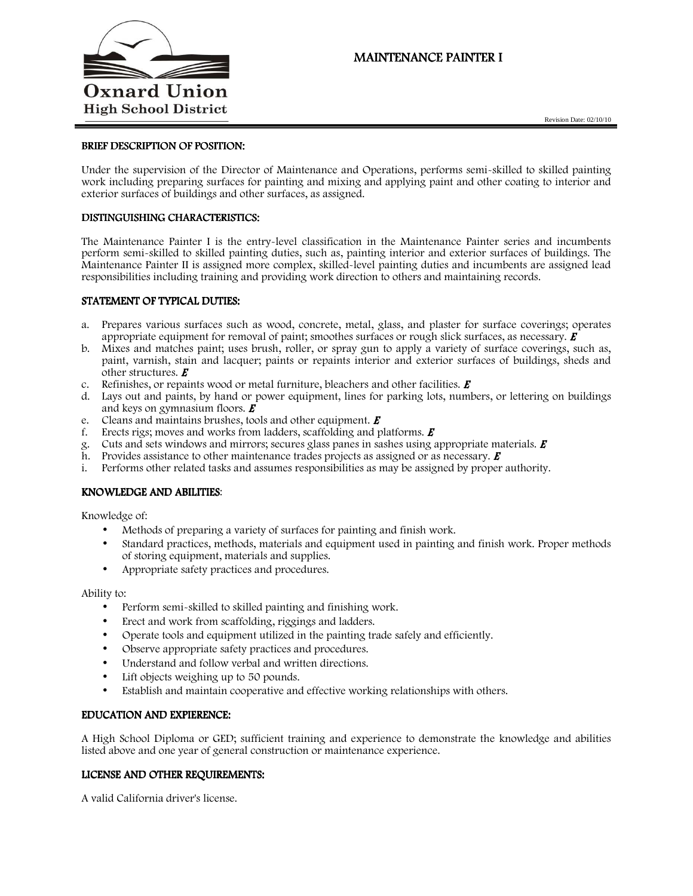

# **MAINTENANCE PAINTER I**

#### BRIEF DESCRIPTION OF POSITION:

Under the supervision of the Director of Maintenance and Operations, performs semi-skilled to skilled painting work including preparing surfaces for painting and mixing and applying paint and other coating to interior and exterior surfaces of buildings and other surfaces, as assigned.

## DISTINGUISHING CHARACTERISTICS:

The Maintenance Painter I is the entry-level classification in the Maintenance Painter series and incumbents perform semi-skilled to skilled painting duties, such as, painting interior and exterior surfaces of buildings. The Maintenance Painter II is assigned more complex, skilled-level painting duties and incumbents are assigned lead responsibilities including training and providing work direction to others and maintaining records.

#### STATEMENT OF TYPICAL DUTIES:

- a. Prepares various surfaces such as wood, concrete, metal, glass, and plaster for surface coverings; operates appropriate equipment for removal of paint; smoothes surfaces or rough slick surfaces, as necessary.  $\boldsymbol{E}$
- b. Mixes and matches paint; uses brush, roller, or spray gun to apply a variety of surface coverings, such as, paint, varnish, stain and lacquer; paints or repaints interior and exterior surfaces of buildings, sheds and other structures.  $E$
- c. Refinishes, or repaints wood or metal furniture, bleachers and other facilities.  $\boldsymbol{E}$
- d. Lays out and paints, by hand or power equipment, lines for parking lots, numbers, or lettering on buildings and keys on gymnasium floors.  $\boldsymbol{E}$
- e. Cleans and maintains brushes, tools and other equipment.  $\boldsymbol{E}$
- f. Erects rigs; moves and works from ladders, scaffolding and platforms.  $\boldsymbol{E}$
- g. Cuts and sets windows and mirrors; secures glass panes in sashes using appropriate materials.  $\vec{E}$
- h. Provides assistance to other maintenance trades projects as assigned or as necessary.  $\vec{E}$
- i. Performs other related tasks and assumes responsibilities as may be assigned by proper authority.

#### KNOWLEDGE AND ABILITIES:

Knowledge of:

- Methods of preparing a variety of surfaces for painting and finish work.
- Standard practices, methods, materials and equipment used in painting and finish work. Proper methods of storing equipment, materials and supplies.
- Appropriate safety practices and procedures.

#### Ability to:

- Perform semi-skilled to skilled painting and finishing work.
- Erect and work from scaffolding, riggings and ladders.
- Operate tools and equipment utilized in the painting trade safely and efficiently.
- Observe appropriate safety practices and procedures.
- Understand and follow verbal and written directions.
- Lift objects weighing up to 50 pounds.
- Establish and maintain cooperative and effective working relationships with others.

#### EDUCATION AND EXPIERENCE:

A High School Diploma or GED; sufficient training and experience to demonstrate the knowledge and abilities listed above and one year of general construction or maintenance experience.

#### LICENSE AND OTHER REQUIREMENTS:

A valid California driver's license.